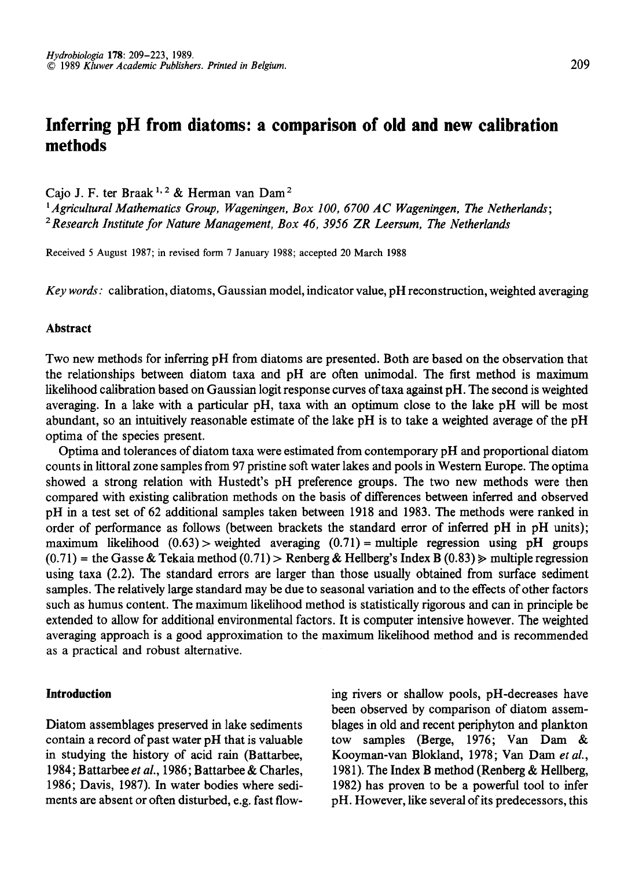# **Inferring pH from diatoms: a comparison of old and new calibration methods**

Cajo J. F. ter Braak  $1, 2$  & Herman van Dam<sup>2</sup>

<sup>1</sup> Agricultural Mathematics Group, Wageningen, Box 100, 6700 AC Wageningen, The Netherlands; <sup>2</sup>*Research Institute for Nature Management, Box 46, 3956 ZR Leersum, The Netherlands* 

Received 5 August 1987; in revised form 7 January 1988; accepted 20 March 1988

*Key words:* calibration, diatoms, Gaussian model, indicator value, pH reconstruction, weighted averaging

#### **Abstract**

Two new methods for inferring pH from diatoms are presented. Both are based on the observation that the relationships between diatom taxa and pH are often unimodal. The frrst method is maximum likelihood calibration based on Gaussian logit response curves of taxa against pH. The second is weighted averaging. In a lake with a particular pH, taxa with an optimum close to the lake pH will be most abundant, so an intuitively reasonable estimate of the lake pH is to take a weighted average of the pH optima of the species present.

Optima and tolerances of diatom taxa were estimated from contemporary pH and proportional diatom counts in littoral zone samples from 97 pristine soft water lakes and pools in Western Europe. The optima showed a strong relation with Hustedt's pH preference groups. The two new methods were then compared with existing calibration methods on the basis of differences between inferred and observed pH in a test set of 62 additional samples taken between 1918 and 1983. The methods were ranked in order of performance as follows (between brackets the standard error of inferred pH in pH units); maximum likelihood  $(0.63)$  weighted averaging  $(0.71)$  = multiple regression using pH groups  $(0.71)$  = the Gasse & Tekaia method  $(0.71)$  > Renberg & Hellberg's Index B  $(0.83)$  > multiple regression using taxa (2.2). The standard errors are larger than those usually obtained from surface sediment samples. The relatively large standard may be due to seasonal variation and to the effects of other factors such as humus content. The maximum likelihood method is statistically rigorous and can in principle be extended to allow for additional environmental factors. It is computer intensive however. The weighted averaging approach is a good approximation to the maximum likelihood method and is recommended as a practical and robust alternative.

# **Introduction**

Diatom assemblages preserved in lake sediments contain a record of past water pH that is valuable in studying the history of acid rain (Battarbee, 1984; Battarbee *eta!.,* 1986; Battarbee & Charles, 1986; Davis, 1987). In water bodies where sediments are absent or often disturbed, e.g. fast flowing rivers or shallow pools, pH-decreases have been observed by comparison of diatom assemblages in old and recent periphyton and plankton tow samples (Berge, 1976; Van Dam & Kooyman-van Blokland, 1978; Van Dam *et al.,*  1981). The Index B method (Renberg & Hellberg, 1982) has proven to be a powerful tool to infer pH. However, like several of its predecessors, this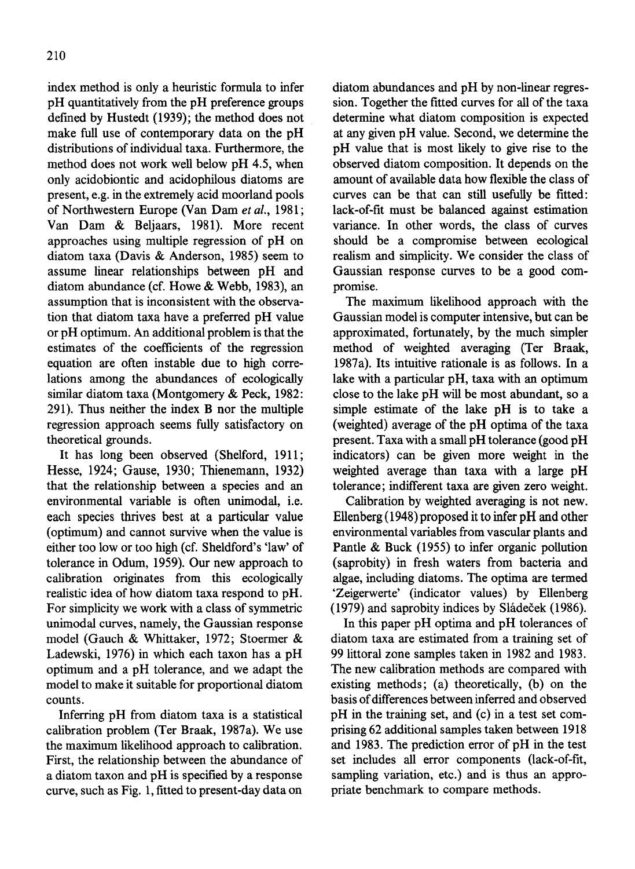index method is only a heuristic formula to infer pH quantitatively from the pH preference groups defined by Hustedt (1939); the method does not make full use of contemporary data on the pH distributions of individual taxa. Furthermore, the method does not work well below pH 4.5, when only acidobiontic and acidophilous diatoms are present, e.g. in the extremely acid moorland pools of Northwestern Europe (Van Dam *et al.,* 1981; Van Dam & Beljaars, 1981). More recent approaches using multiple regression of pH on diatom taxa (Davis & Anderson, 1985) seem to assume linear relationships between pH and diatom abundance (cf. Howe & Webb, 1983), an assumption that is inconsistent with the observation that diatom taxa have a preferred pH value or pH optimum. An additional problem is that the estimates of the coefficients of the regression equation are often instable due to high correlations among the abundances of ecologically similar diatom taxa (Montgomery & Peck, 1982: 291). Thus neither the index B nor the multiple regression approach seems fully satisfactory on theoretical grounds.

It has long been observed (Shelford, 1911; Hesse, 1924; Gause, 1930; Thienemann, 1932) that the relationship between a species and an environmental variable is often unimodal, i.e. each species thrives best at a particular value (optimum) and cannot survive when the value is either too low or too high (cf. Sheldford's 'law' of tolerance in Odum, 1959). Our new approach to calibration originates from this ecologically realistic idea of how diatom taxa respond to pH. For simplicity we work with a class of symmetric unimodal curves, namely, the Gaussian response model (Gauch & Whittaker, 1972; Stoermer & Ladewski, 1976) in which each taxon has a pH optimum and a pH tolerance, and we adapt the model to make it suitable for proportional diatom counts.

Inferring pH from diatom taxa is a statistical calibration problem (Ter Braak, 1987a). We use the maximum likelihood approach to calibration. First, the relationship between the abundance of a diatom taxon and pH is specified by a response curve, such as Fig. 1, fitted to present-day data on

diatom abundances and pH by non-linear regression. Together the fitted curves for all of the taxa determine what diatom composition is expected at any given pH value. Second, we determine the pH value that is most likely to give rise to the observed diatom composition. It depends on the amount of available data how flexible the class of curves can be that can still usefully be fitted: lack-of-fit must be balanced against estimation variance. In other words, the class of curves should be a compromise between ecological realism and simplicity. We consider the class of Gaussian response curves to be a good compromise.

The maximum likelihood approach with the Gaussian model is computer intensive, but can be approximated, fortunately, by the much simpler method of weighted averaging (Ter Braak, 1987a). Its intuitive rationale is as follows. In a lake with a particular pH, taxa with an optimum close to the lake pH will be most abundant, so a simple estimate of the lake pH is to take a (weighted) average of the pH optima of the taxa present. Taxa with a small pH tolerance (good pH indicators) can be given more weight in the weighted average than taxa with a large pH tolerance; indifferent taxa are given zero weight.

Calibration by weighted averaging is not new. Ellenberg ( 1948) proposed it to infer pH and other environmental variables from vascular plants and Pantle & Buck (1955) to infer organic pollution (saprobity) in fresh waters from bacteria and algae, including diatoms. The optima are termed 'Zeigerwerte' (indicator values) by Ellenberg (1979) and saprobity indices by Sládeček (1986).

In this paper pH optima and pH tolerances of diatom taxa are estimated from a training set of 99littoral zone samples taken in 1982 and 1983. The new calibration methods are compared with existing methods; (a) theoretically, (b) on the basis of differences between inferred and observed pH in the training set, and (c) in a test set comprising 62 additional samples taken between 1918 and 1983. The prediction error of pH in the test set includes all error components (lack-of-fit, sampling variation, etc.) and is thus an appropriate benchmark to compare methods.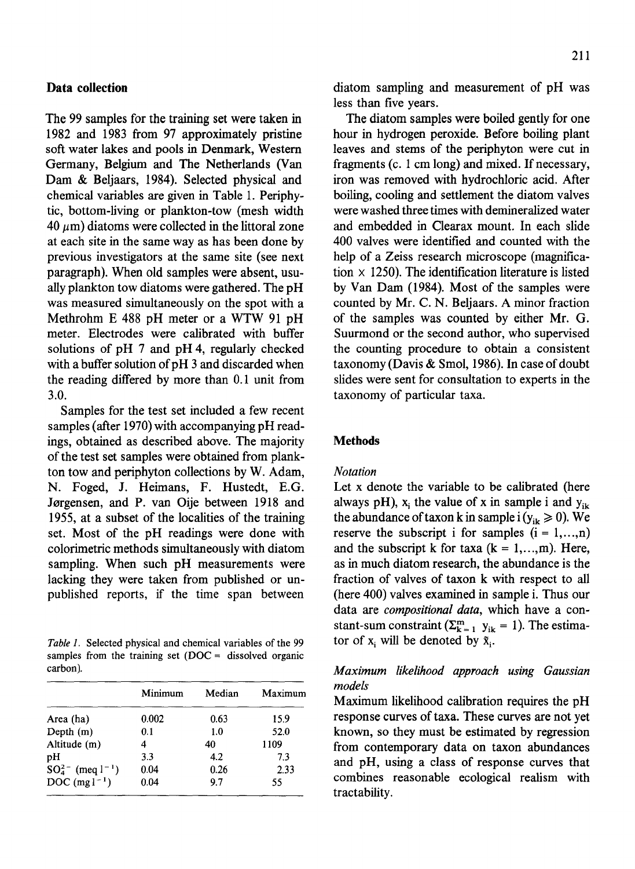### **Data collection**

The 99 samples for the training set were taken in 1982 and 1983 from 97 approximately pristine soft water lakes and pools in Denmark, Western Germany, Belgium and The Netherlands (Van Dam & Beljaars, 1984). Selected physical and chemical variables are given in Table 1. Periphytic, bottom-living or plankton-tow (mesh width  $40 \mu m$ ) diatoms were collected in the littoral zone at each site in the same way as has been done by previous investigators at the same site (see next paragraph). When old samples were absent, usually plankton tow diatoms were gathered. The pH was measured simultaneously on the spot with a Methrohm E 488 pH meter or a WTW 91 pH meter. Electrodes were calibrated with buffer solutions of pH 7 and pH 4, regularly checked with a buffer solution of pH 3 and discarded when the reading differed by more than 0.1 unit from 3.0.

Samples for the test set included a few recent samples (after 1970) with accompanying pH readings, obtained as described above. The majority of the test set samples were obtained from plankton tow and periphyton collections by W. Adam, N. Foged, J. Heimans, F. Hustedt, E.G. Jørgensen, and P. van Oije between 1918 and 1955, at a subset of the localities of the training set. Most of the pH readings were done with colorimetric methods simultaneously with diatom sampling. When such pH measurements were lacking they were taken from published or unpublished reports, if the time span between

*Table I.* Selected physical and chemical variables of the 99 samples from the training set  $(DOC =$  dissolved organic carbon).

|                             | Minimum | Median | Maximum |
|-----------------------------|---------|--------|---------|
| Area (ha)                   | 0.002   | 0.63   | 15.9    |
| Depth $(m)$                 | 0.1     | 1.0    | 52.0    |
| Altitude (m)                | 4       | 40     | 1109    |
| pH                          | 3.3     | 4.2    | 7.3     |
| $SO_4^{2-}$ (meq $1^{-1}$ ) | 0.04    | 0.26   | 2.33    |
| DOC $(mg1^{-1})$            | 0.04    | 9.7    | 55      |

The diatom samples were boiled gently for one hour in hydrogen peroxide. Before boiling plant leaves and stems of the periphyton were cut in fragments (c. 1 em long) and mixed. If necessary, iron was removed with hydrochloric acid. Mter boiling, cooling and settlement the diatom valves were washed three times with demineralized water and embedded in Clearax mount. In each slide 400 valves were identified and counted with the help of a Zeiss research microscope (magnification  $\times$  1250). The identification literature is listed by Van Dam (1984). Most of the samples were counted by Mr. C. N. Beljaars. A minor fraction of the samples was counted by either Mr. G. Suurmond or the second author, who supervised the counting procedure to obtain a consistent taxonomy (Davis & Smol, 1986). In case of doubt slides were sent for consultation to experts in the taxonomy of particular taxa.

# **Methods**

# *Notation*

Let x denote the variable to be calibrated (here always pH),  $x_i$  the value of x in sample i and  $y_{ik}$ the abundance of taxon k in sample i  $(y_{ik} \ge 0)$ . We reserve the subscript i for samples  $(i = 1, ..., n)$ and the subscript k for taxa  $(k = 1, \ldots, m)$ . Here, as in much diatom research, the abundance is the fraction of valves of taxon k with respect to all (here 400) valves examined in sample i. Thus our data are *compositional data,* which have a constant-sum constraint ( $\Sigma_{k=1}^{m}$  y<sub>ik</sub> = 1). The estimator of  $x_i$  will be denoted by  $\tilde{x}_i$ .

# *Maximum likelihood approach using Gaussian models*

Maximum likelihood calibration requires the pH response curves of taxa. These curves are not yet known, so they must be estimated by regression from contemporary data on taxon abundances and pH, using a class of response curves that combines reasonable ecological realism with tractability.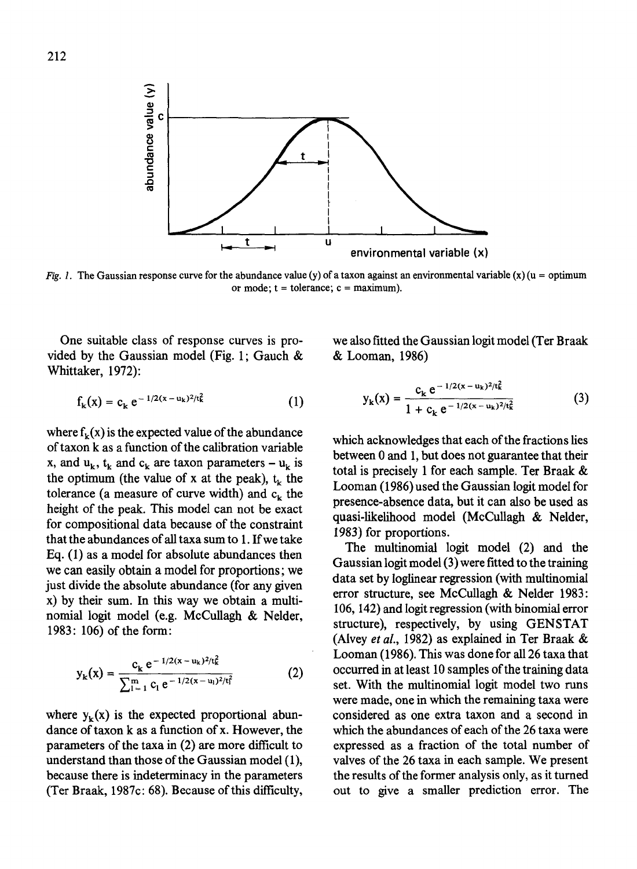

Fig. 1. The Gaussian response curve for the abundance value (y) of a taxon against an environmental variable  $(x)$  (u = optimum or mode;  $t = tolerance$ ;  $c = maximum$ ).

One suitable class of response curves is provided by the Gaussian model (Fig. 1; Gauch & Whittaker, 1972):

$$
f_k(x) = c_k e^{-1/2(x - u_k)^2/t_k^2}
$$
 (1)

where  $f_k(x)$  is the expected value of the abundance of taxon k as a function of the calibration variable x, and  $u_k$ ,  $t_k$  and  $c_k$  are taxon parameters  $-u_k$  is the optimum (the value of x at the peak),  $t_k$  the tolerance (a measure of curve width) and  $c_k$  the height of the peak. This model can not be exact for compositional data because of the constraint that the abundances of all taxa sum to 1. If we take Eq. (1) as a model for absolute abundances then we can easily obtain a model for proportions; we just divide the absolute abundance (for any given x) by their sum. In this way we obtain a multinomial logit model (e.g. McCullagh & Neider, 1983: 106) of the form:

$$
y_k(x) = \frac{c_k e^{-1/2(x - u_k)^2/t_k^2}}{\sum_{l=1}^m c_l e^{-1/2(x - u_l)^2/t_l^2}}
$$
(2)

where  $y_k(x)$  is the expected proportional abundance of taxon  $k$  as a function of  $x$ . However, the parameters of the taxa in (2) are more difficult to understand than those of the Gaussian model (1), because there is indeterminacy in the parameters (Ter Braak, 1987c: 68). Because of this difficulty,

we also fitted the Gaussian logit model (Ter Braak & Looman, 1986)

$$
y_{k}(x) = \frac{c_{k} e^{-1/2(x - u_{k})^{2}/t_{k}^{2}}}{1 + c_{k} e^{-1/2(x - u_{k})^{2}/t_{k}^{2}}}
$$
(3)

which acknowledges that each of the fractions lies between 0 and 1, but does not guarantee that their total is precisely 1 for each sample. Ter Braak & Looman (1986) used the Gaussian logit model for presence-absence data, but it can also be used as quasi-likelihood model (McCullagh & Neider, 1983) for proportions.

The multinomial logit model (2) and the Gaussian logit model (3) were fitted to the training data set by loglinear regression (with multinomial error structure, see McCullagh & Neider 1983: 106, 142) and logit regression (with binomial error structure), respectively, by using GENSTAT (Alvey *et al.,* 1982) as explained in Ter Braak & Looman (1986). This was done for all 26 taxa that occurred in at least 10 samples of the training data set. With the multinomial logit model two runs were made, one in which the remaining taxa were considered as one extra taxon and a second in which the abundances of each of the 26 taxa were expressed as a fraction of the total number of valves of the 26 taxa in each sample. We present the results of the former analysis only, as it turned out to give a smaller prediction error. The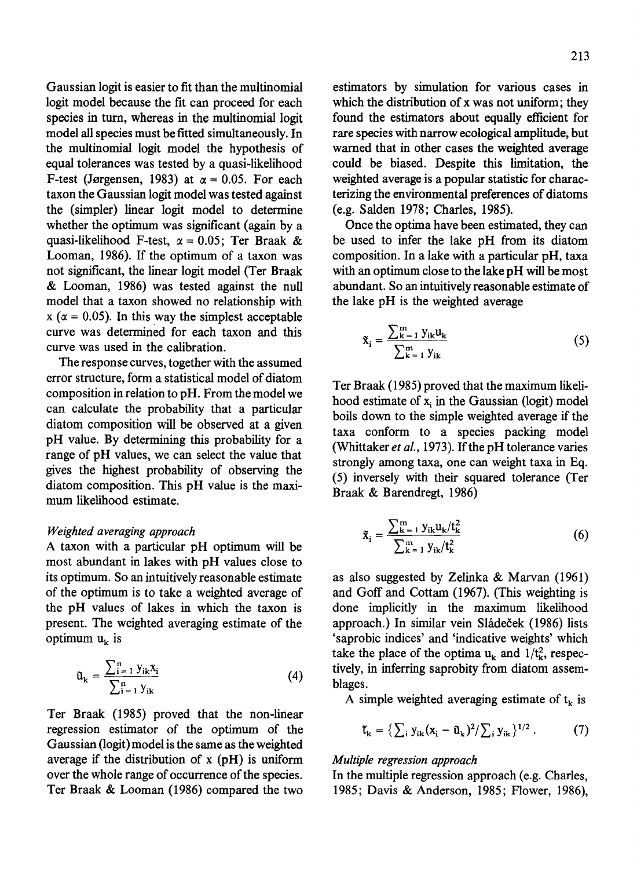Gaussian logit is easier to fit than the multinomial logit model because the fit can proceed for each species in turn, whereas in the multinomial logit model all species must be fitted simultaneously. In the multinomial logit model the hypothesis of equal tolerances was tested by a quasi-likelihood F-test (Jørgensen, 1983) at  $\alpha = 0.05$ . For each taxon the Gaussian logit model was tested against the (simpler) linear logit model to determine whether the optimum was significant (again by a quasi-likelihood F-test,  $\alpha = 0.05$ ; Ter Braak & Looman, 1986). If the optimum of a taxon was not significant, the linear logit model (Ter Braak & Looman, 1986) was tested against the null model that a taxon showed no relationship with  $x (\alpha = 0.05)$ . In this way the simplest acceptable curve was determined for each taxon and this curve was used in the calibration.

The response curves, together with the assumed error structure, form a statistical model of diatom composition in relation to pH. From the model we can calculate the probability that a particular diatom composition will be observed at a given pH value. By determining this probability for a range of pH values, we can select the value that gives the highest probability of observing the diatom composition. This pH value is the maximum likelihood estimate.

# *Weighted averaging approach*

A taxon with a particular pH optimum will be most abundant in lakes with pH values close to its optimum. So an intuitively reasonable estimate of the optimum is to take a weighted average of the pH values of lakes in which the taxon is present. The weighted averaging estimate of the optimum  $u_k$  is

$$
\mathbf{u}_{k} = \frac{\sum_{i=1}^{n} y_{ik} x_{i}}{\sum_{i=1}^{n} y_{ik}}
$$
(4)

Ter Braak (1985) proved that the non-linear regression estimator of the optimum of the Gaussian (logit) model is the same as the weighted average if the distribution of x (pH) is uniform over the whole range of occurrence of the species. Ter Braak & Looman (1986) compared the two

estimators by simulation for various cases in which the distribution of x was not uniform; they found the estimators about equally efficient for rare species with narrow ecological amplitude, but warned that in other cases the weighted average could be biased. Despite this limitation, the weighted average is a popular statistic for characterizing the environmental preferences of diatoms (e.g. Salden 1978; Charles, 1985).

Once the optima have been estimated, they can be used to infer the lake pH from its diatom composition. In a lake with a particular pH, taxa with an optimum close to the lake pH will be most abundant. So an intuitively reasonable estimate of the lake pH is the weighted average

$$
\tilde{x}_{i} = \frac{\sum_{k=1}^{m} y_{ik} u_{k}}{\sum_{k=1}^{m} y_{ik}}
$$
 (5)

Ter Braak (1985) proved that the maximum likelihood estimate of  $x_i$  in the Gaussian (logit) model boils down to the simple weighted average if the taxa conform to a species packing model (Whittaker *et al.*, 1973). If the pH tolerance varies strongly among taxa, one can weight taxa in Eq. (5) inversely with their squared tolerance (Ter Braak & Barendregt, 1986)

$$
\tilde{x}_{i} = \frac{\sum_{k=1}^{m} y_{ik} u_{k}/t_{k}^{2}}{\sum_{k=1}^{m} y_{ik}/t_{k}^{2}}
$$
(6)

as also suggested by Zelinka & Marvan (1961) and Goff and Cottam (1967). (This weighting is done implicitly in the maximum likelihood approach.) In similar vein Sládeček (1986) lists 'saprobic indices' and 'indicative weights' which take the place of the optima  $u_k$  and  $1/t_k^2$ , respectively, in inferring saprobity from diatom assemblages.

A simple weighted averaging estimate of  $t_k$  is

$$
\mathfrak{t}_{k} = \{ \sum_{i} y_{ik} (x_{i} - \mathfrak{a}_{k})^{2} / \sum_{i} y_{ik} \}^{1/2} . \tag{7}
$$

# *Multiple regression approach*

In the multiple regression approach (e.g. Charles, 1985; Davis & Anderson, 1985; Flower, 1986),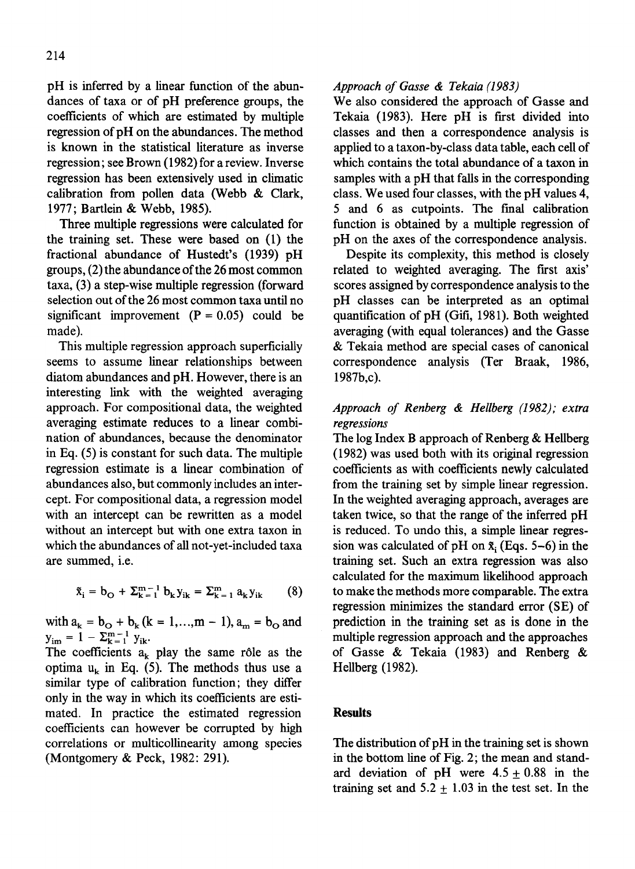pH is inferred by a linear function of the abundances of taxa or of pH preference groups, the coefficients of which are estimated by multiple regression of pH on the abundances. The method is known in the statistical literature as inverse regression; see Brown (1982) for a review. Inverse regression has been extensively used in climatic calibration from pollen data (Webb & Clark, 1977; Bartlein & Webb, 1985).

Three multiple regressions were calculated for the training set. These were based on (1) the fractional abundance of Hustedt's (1939) pH groups, (2) the abundance of the 26 most common taxa, (3) a step-wise multiple regression (forward selection out of the 26 most common taxa until no significant improvement  $(P = 0.05)$  could be made).

This multiple regression approach superficially seems to assume linear relationships between diatom abundances and pH. However, there is an interesting link with the weighted averaging approach. For compositional data, the weighted averaging estimate reduces to a linear combination of abundances, because the denominator in Eq. (5) is constant for such data. The multiple regression estimate is a linear combination of abundances also, but commonly includes an intercept. For compositional data, a regression model with an intercept can be rewritten as a model without an intercept but with one extra taxon in which the abundances of all not-yet-included taxa are summed, i.e.

$$
\tilde{\mathbf{x}}_i = \mathbf{b}_\mathbf{O} + \Sigma_{k=1}^{m-1} \mathbf{b}_k \mathbf{y}_{ik} = \Sigma_{k=1}^m \mathbf{a}_k \mathbf{y}_{ik} \qquad (8)
$$

with  $a_k = b_O + b_k$  (k = 1, ..., m - 1),  $a_m = b_O$  and  $y_{im} = 1 - \sum_{k=1}^{m-1} y_{ik}$ .

The coefficients  $a_k$  play the same rôle as the optima  $u_k$  in Eq. (5). The methods thus use a similar type of calibration function; they differ only in the way in which its coefficients are estimated. In practice the estimated regression coefficients can however be corrupted by high correlations or multicollinearity among species (Montgomery & Peck, 1982: 291).

# *Approach of Gasse & Tekaia (1983)*

We also considered the approach of Gasse and Tekaia (1983). Here pH is first divided into classes and then a correspondence analysis is applied to a taxon-by-class data table, each cell of which contains the total abundance of a taxon in samples with a pH that falls in the corresponding class. We used four classes, with the pH values 4, 5 and 6 as cutpoints. The final calibration function is obtained by a multiple regression of pH on the axes of the correspondence analysis.

Despite its complexity, this method is closely related to weighted averaging. The first axis' scores assigned by correspondence analysis to the pH classes can be interpreted as an optimal quantification of pH (Gifi, 1981). Both weighted averaging (with equal tolerances) and the Gasse & Tekaia method are special cases of canonical correspondence analysis (Ter Braak, 1986, 1987b,c).

# *Approach of Renberg & Hellberg (1982); extra regressions*

The log Index B approach of Renberg & Hellberg (1982) was used both with its original regression coefficients as with coefficients newly calculated from the training set by simple linear regression. In the weighted averaging approach, averages are taken twice, so that the range of the inferred pH is reduced. To undo this, a simple linear regression was calculated of pH on  $\tilde{x}$ ; (Eqs. 5-6) in the training set. Such an extra regression was also calculated for the maximum likelihood approach to make the methods more comparable. The extra regression minimizes the standard error (SE) of prediction in the training set as is done in the multiple regression approach and the approaches of Gasse & Tekaia (1983) and Renberg & Hellberg (1982).

#### **Results**

The distribution of pH in the training set is shown in the bottom line of Fig. 2; the mean and standard deviation of pH were  $4.5 + 0.88$  in the training set and  $5.2 + 1.03$  in the test set. In the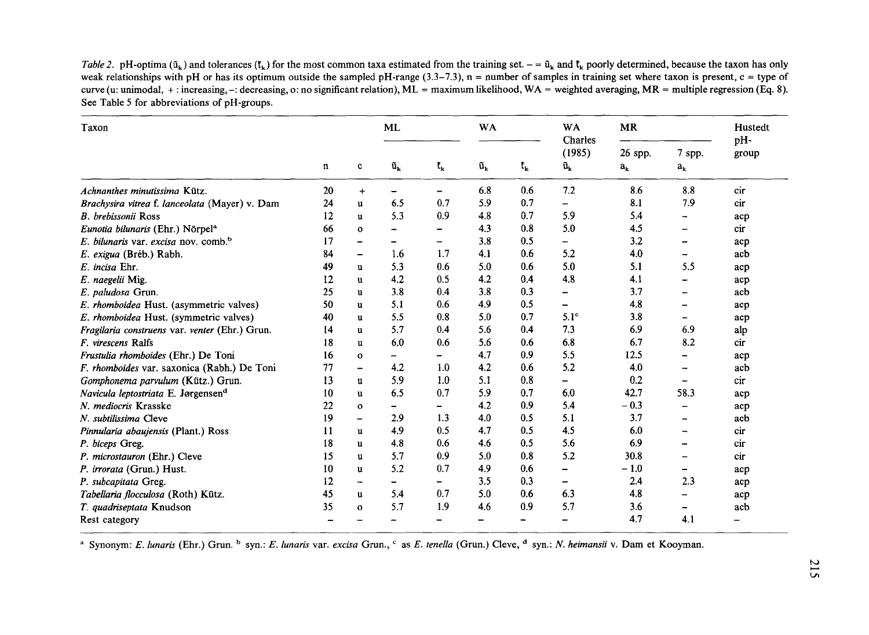*Table 2.* pH-optima ( $\tilde{u}_k$ ) and tolerances ( $\tilde{t}_k$ ) for the most common taxa estimated from the training set.  $-\tilde{u}_k$  and  $\tilde{t}_k$  poorly determined, because the taxon has only weak relationships with pH or has its optimum outside the sampled pH-range (3.3-7.3), n = number of samples in training set where taxon is present,  $c =$  type of curve (u: unimodal, +: increasing, -: decreasing, o: no significant relation), ML = maximum likelihood, WA = weighted averaging, MR = multiple regression (Eq. 8). See Table 5 for abbreviations of pH-groups.

| Taxon                                            |          | <b>ML</b>                |                                   | <b>WA</b>                |                                 | <b>WA</b><br>Charles      | <b>MR</b>                                   |                    | Hustedt<br>pH-    |       |
|--------------------------------------------------|----------|--------------------------|-----------------------------------|--------------------------|---------------------------------|---------------------------|---------------------------------------------|--------------------|-------------------|-------|
|                                                  | n        | c                        | $\tilde{\mathbf{u}}_{\mathbf{k}}$ | $\mathfrak{k}_{\bf k}$   | $\tilde{\mathbf{u}}_\mathbf{k}$ | $\mathbf{t}_{\mathbf{k}}$ | (1985)<br>$\tilde{\mathbf{u}}_{\mathbf{k}}$ | 26 spp.<br>$a_{k}$ | 7 spp.<br>$a_{k}$ | group |
| Achnanthes minutissima Kütz.                     | 20       | $+$                      | $\overline{\phantom{0}}$          | $\overline{\phantom{0}}$ | 6.8                             | 0.6                       | 7.2                                         | 8.6                | 8.8               | cir   |
| Brachysira vitrea f. lanceolata (Mayer) v. Dam   | 24       | u                        | 6.5                               | 0.7                      | 5.9                             | 0.7                       | $\overline{\phantom{0}}$                    | 8.1                | 7.9               | cir   |
| <b>B.</b> brebissonii Ross                       | 12       | u                        | 5.3                               | 0.9                      | 4.8                             | 0.7                       | 5.9                                         | 5.4                |                   | acp   |
| Eunotia bilunaris (Ehr.) Nörpel <sup>a</sup>     | 66       | $\mathbf{o}$             | $\overline{\phantom{0}}$          | -                        | 4.3                             | 0.8                       | 5.0                                         | 4.5                |                   | cir   |
| E. bilunaris var. excisa nov. comb. <sup>b</sup> | 17       | -                        | -                                 | -                        | 3.8                             | 0.5                       | $\qquad \qquad -$                           | 3.2                |                   | acp   |
| E. exigua (Bréb.) Rabh.                          | 84       | $\overline{\phantom{0}}$ | 1.6                               | 1.7                      | 4.1                             | 0.6                       | 5.2                                         | 4.0                |                   | acb   |
| E. incisa Ehr.                                   | 49       | u                        | 5.3                               | 0.6                      | 5.0                             | 0.6                       | 5.0                                         | 5.1                | 5.5               | аср   |
| E. naegelii Mig.                                 | 12       | $\mathbf u$              | 4.2                               | 0.5                      | 4.2                             | 0.4                       | 4.8                                         | 4.1                |                   | acp   |
| E. paludosa Grun.                                | 25       | u                        | 3.8                               | 0.4                      | 3.8                             | 0.3                       | -                                           | 3.7                |                   | acb   |
| E. rhomboidea Hust. (asymmetric valves)          | 50<br>40 | u                        | 5.1                               | 0.6                      | 4.9                             | 0.5                       | -                                           | 4.8<br>3.8         |                   | acp   |
| E. rhomboidea Hust. (symmetric valves)           |          | u                        | 5.5                               | 0.8                      | 5.0                             | 0.7                       | $5.1^\circ$                                 |                    |                   | acp   |
| Fragilaria construens var. venter (Ehr.) Grun.   | 14       | u                        | 5.7                               | 0.4                      | 5.6                             | 0.4                       | 7.3                                         | 6.9                | 6.9               | alp   |
| F. virescens Ralfs                               | 18       | $\mathbf{u}$             | 6.0                               | 0.6                      | 5.6                             | 0.6                       | 6.8                                         | 6.7                | 8.2               | cir   |
| Frustulia rhomboides (Ehr.) De Toni              | 16       | $\Omega$                 | -                                 | -                        | 4.7                             | 0.9                       | 5.5                                         | 12.5               |                   | acp   |
| F. rhomboides var. saxonica (Rabh.) De Toni      | 77       | $\overline{\phantom{0}}$ | 4.2                               | 1.0                      | 4.2                             | 0.6                       | 5.2                                         | 4.0                |                   | acb   |
| Gomphonema parvulum (Kütz.) Grun.                | 13       | u                        | 5.9                               | 1.0                      | 5.1                             | 0.8                       | $=$                                         | 0.2                |                   | cir   |
| Navicula leptostriata E. Jørgensen <sup>d</sup>  | 10       | u                        | 6.5                               | 0.7                      | 5.9                             | 0.7                       | 6.0                                         | 42.7               | 58.3              | acp   |
| N. mediocris Krasske                             | 22       | $\mathbf{o}$             | -                                 | $\overline{\phantom{0}}$ | 4.2                             | 0.9                       | 5.4                                         | $-0.3$             |                   | acp   |
| N. subtilissima Cleve                            | 19       | -                        | 2.9                               | 1.3                      | 4.0                             | 0.5                       | 5.1                                         | 3.7                |                   | acb   |
| Pinnularia abaujensis (Plant.) Ross              | 11       | $\mathbf{u}$             | 4.9                               | 0.5                      | 4.7                             | 0.5                       | 4.5                                         | 6.0                |                   | cir   |
| P. biceps Greg.                                  | 18       | $\mathbf{u}$             | 4.8                               | 0.6                      | 4.6                             | 0.5                       | 5.6                                         | 6.9                |                   | cir   |
| P. microstauron (Ehr.) Cleve                     | 15       | $\mathbf{u}$             | 5.7                               | 0.9                      | 5.0                             | 0.8                       | 5.2                                         | 30.8               |                   | cir   |
| P. irrorata (Grun.) Hust.                        | 10       | $\mathbf{u}$             | 5.2                               | 0.7                      | 4.9                             | 0.6                       | -                                           | $-1.0$             |                   | acp   |
| P. subcapitata Greg.                             | 12       | $\overline{\phantom{0}}$ | $\overline{\phantom{0}}$          | $\overline{\phantom{0}}$ | 3.5                             | 0.3                       | -                                           | 2.4                | 2.3               | acp   |
| Tabellaria flocculosa (Roth) Kütz.               | 45       | $\mathbf{u}$             | 5.4                               | 0.7                      | 5.0                             | 0.6                       | 6.3                                         | 4.8                |                   | acp   |
| T. quadriseptata Knudson                         | 35       | $\Omega$                 | 5.7                               | 1.9                      | 4.6                             | 0.9                       | 5.7                                         | 3.6                |                   | acb   |
| Rest category                                    |          |                          |                                   |                          |                                 |                           |                                             | 4.7                | 4.1               | -     |

<sup>a</sup> Synonym: *E. lunaris* (Ehr.) Grun. <sup>b</sup> syn.: *E. lunaris* var. *excisa* Grun., <sup>c</sup> as *E. tenella* (Grun.) Cleve, <sup>d</sup> syn.: *N. heimansii* v. Dam et Kooyman.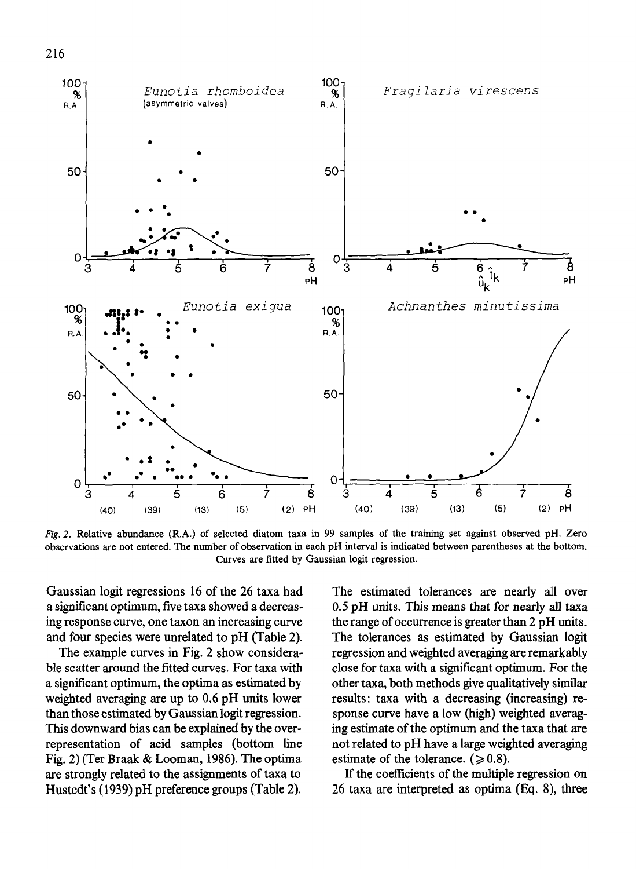

*Fig. 2.* Relative abundance (R.A.) of selected diatom taxa in 99 samples of the training set against observed pH. Zero observations are not entered. The number of observation in each pH interval is indicated between parentheses at the bottom. Curves are fitted by Gaussian logit regression.

Gaussian logit regressions 16 of the 26 taxa had a significant optimum, five taxa showed a decreasing response curve, one taxon an increasing curve and four species were unrelated to pH (Table 2).

The example curves in Fig. 2 show considerable scatter around the fitted curves. For taxa with a significant optimum, the optima as estimated by weighted averaging are up to 0.6 pH units lower than those estimated by Gaussian logit regression. This downward bias can be explained by the overrepresentation of acid samples (bottom line Fig. 2) (Ter Braak & Looman, 1986). The optima are strongly related to the assignments of taxa to Hustedt's (1939) pH preference groups (Table 2).

The estimated tolerances are nearly all over 0.5 pH units. This means that for nearly all taxa the range of occurrence is greater than 2 pH units. The tolerances as estimated by Gaussian logit regression and weighted averaging are remarkably close for taxa with a significant optimum. For the other taxa, both methods give qualitatively similar results: taxa with a decreasing (increasing) response curve have a low (high) weighted averaging estimate of the optimum and the taxa that are not related to pH have a large weighted averaging estimate of the tolerance.  $(\ge 0.8)$ .

If the coefficients of the multiple regression on 26 taxa are interpreted as optima (Eq. 8), three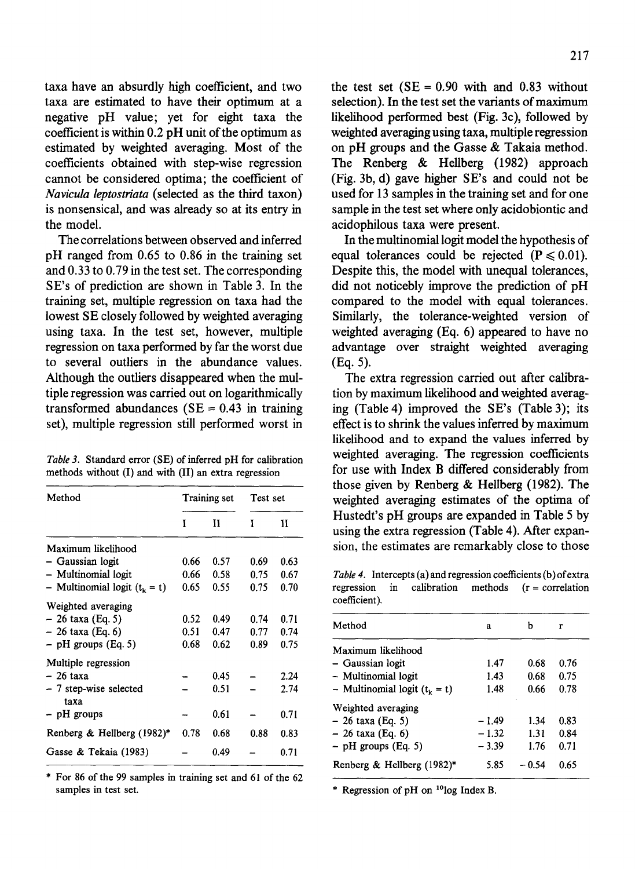taxa have an absurdly high coefficient, and two taxa are estimated to have their optimum at a negative pH value; yet for eight taxa the coefficient is within 0.2 pH unit of the optimum as estimated by weighted averaging. Most of the coefficients obtained with step-wise regression cannot be considered optima; the coefficient of *Navicula leptostriata* (selected as the third taxon) is nonsensical, and was already so at its entry in the model.

The correlations between observed and inferred pH ranged from 0.65 to 0.86 in the training set and 0.33 to 0. 79 in the test set. The corresponding SE's of prediction are shown in Table 3. In the training set, multiple regression on taxa had the lowest SE closely followed by weighted averaging using taxa. In the test set, however, multiple regression on taxa performed by far the worst due to several outliers in the abundance values. Although the outliers disappeared when the multiple regression was carried out on logarithmically transformed abundances ( $SE = 0.43$  in training set), multiple regression still performed worst in

*Table 3.* Standard error (SE) of inferred pH for calibration methods without (I) and with (II) an extra regression

| Method                         |      | Training set | Test set |      |  |
|--------------------------------|------|--------------|----------|------|--|
|                                | Ī    | и            | Ī        | Ħ    |  |
| Maximum likelihood             |      |              |          |      |  |
| – Gaussian logit               | 0.66 | 0.57         | 0.69     | 0.63 |  |
| - Multinomial logit            | 0.66 | 0.58         | 0.75     | 0.67 |  |
| - Multinomial logit $(tk = t)$ | 0.65 | 0.55         | 0.75     | 0.70 |  |
| Weighted averaging             |      |              |          |      |  |
| – 26 taxa (Eq. 5)              | 0.52 | 0.49         | 0.74     | 0.71 |  |
| - 26 taxa (Eq. 6)              | 0.51 | 0.47         | 0.77     | 0.74 |  |
| $-$ pH groups (Eq. 5)          | 0.68 | 0.62         | 0.89     | 0.75 |  |
| Multiple regression            |      |              |          |      |  |
| - 26 taxa                      |      | 0.45         |          | 2.24 |  |
| - 7 step-wise selected<br>taxa |      | 0.51         |          | 2.74 |  |
| - pH groups                    |      | 0.61         |          | 0.71 |  |
| Renberg & Hellberg $(1982)^*$  | 0.78 | 0.68         | 0.88     | 0.83 |  |
| Gasse & Tekaia (1983)          |      | 0.49         |          | 0.71 |  |

\* For 86 of the 99 samples in training set and 61 of the 62 samples in test set.

the test set  $(SE = 0.90 \text{ with and } 0.83 \text{ without})$ selection). In the test set the variants of maximum likelihood performed best (Fig. 3c ), followed by weighted averaging using taxa, multiple regression on pH groups and the Gasse & Takaia method. The Renberg & Hellberg (1982) approach (Fig. 3b, d) gave higher SE's and could not be used for 13 samples in the training set and for one sample in the test set where only acidobiontic and acidophilous taxa were present.

In the multinomiallogit model the hypothesis of equal tolerances could be rejected  $(P \le 0.01)$ . Despite this, the model with unequal tolerances, did not noticebly improve the prediction of pH compared to the model with equal tolerances. Similarly, the tolerance-weighted version of weighted averaging (Eq. 6) appeared to have no advantage over straight weighted averaging (Eq. 5).

The extra regression carried out after calibration by maximum likelihood and weighted averaging (Table 4) improved the SE's (Table 3); its effect is to shrink the values inferred by maximum likelihood and to expand the values inferred by weighted averaging. The regression coefficients for use with Index B differed considerably from those given by Renberg & Hellberg (1982). The weighted averaging estimates of the optima of Hustedt's pH groups are expanded in Table 5 by using the extra regression {Table 4). After expansion, the estimates are remarkably close to those

*Table 4.* Intercepts (a) and regression coefficients (b) of extra regression in calibration methods  $(r = correlation$ coefficient).

| Method                         | a       | h      | r    |
|--------------------------------|---------|--------|------|
| Maximum likelihood             |         |        |      |
| – Gaussian logit               | 1.47    | 0.68   | 0.76 |
| - Multinomial logit            | 1.43    | 0.68   | 0.75 |
| - Multinomial logit $(tk = t)$ | 1.48    | 0.66   | 0.78 |
| Weighted averaging             |         |        |      |
| $-26$ taxa (Eq. 5)             | $-1.49$ | 1.34   | 0.83 |
| – 26 taxa (Eq. 6)              | $-1.32$ | 1.31   | 0.84 |
| $-$ pH groups (Eq. 5)          | $-3.39$ | 1.76   | 0.71 |
| Renberg & Hellberg $(1982)^*$  | 5.85    | - 0.54 | 0.65 |

\* Regression of pH on 101og Index B.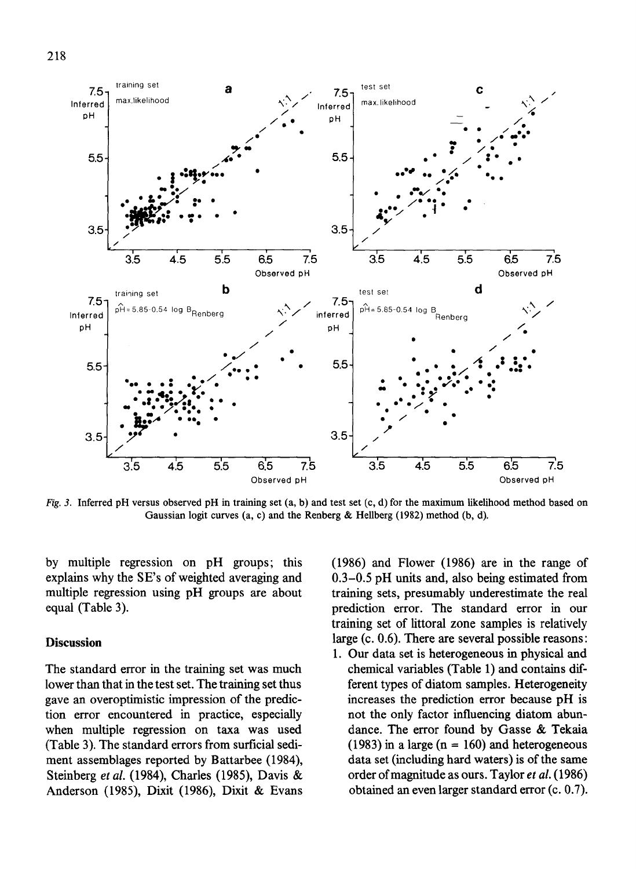



*Fig. 3.* Inferred pH versus observed pH in training set (a, b) and test set (c, d) for the maximum likelihood method based on Gaussian logit curves (a, c) and the Renberg & Hellberg (1982) method (b, d).

by multiple regression on pH groups; this explains why the SE's of weighted averaging and multiple regression using pH groups are about equal (Table 3).

# **Discussion**

The standard error in the training set was much lower than that in the test set. The training set thus gave an overoptimistic impression of the prediction error encountered in practice, especially when multiple regression on taxa was used (Table 3). The standard errors from surficial sediment assemblages reported by Battarbee (1984), Steinberg *et al.* (1984), Charles (1985), Davis & Anderson (1985), Dixit (1986), Dixit & Evans

(1986) and Flower (1986) are in the range of 0.3-0.5 pH units and, also being estimated from training sets, presumably underestimate the real prediction error. The standard error in our training set of littoral zone samples is relatively large (c. 0.6). There are several possible reasons:

1. Our data set is heterogeneous in physical and chemical variables (Table 1) and contains different types of diatom samples. Heterogeneity increases the prediction error because pH is not the only factor influencing diatom abundance. The error found by Gasse & Tekaia  $(1983)$  in a large  $(n = 160)$  and heterogeneous data set (including hard waters) is of the same order of magnitude as ours. Taylor *eta/.* (1986) obtained an even larger standard error (c. 0.7).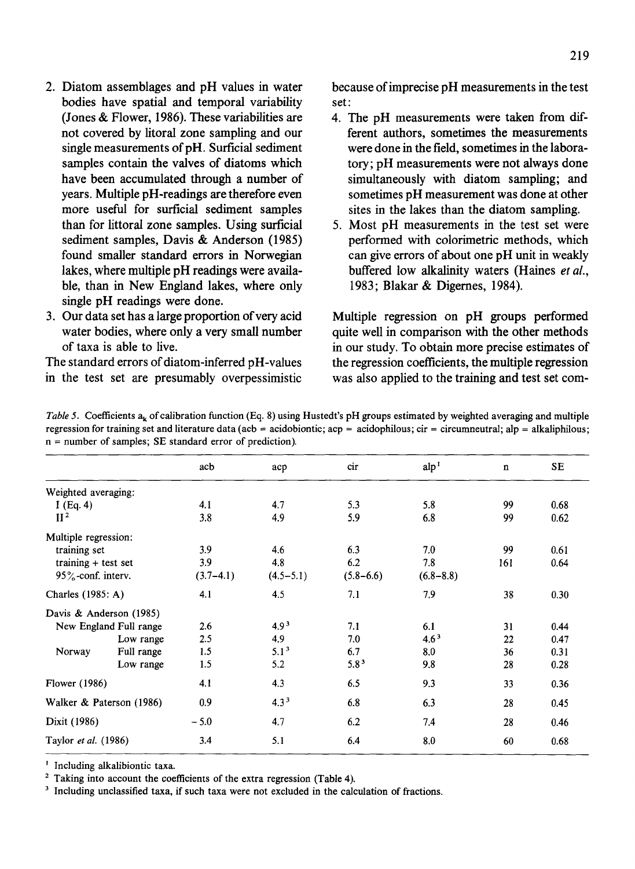- 2. Diatom assemblages and pH values in water bodies have spatial and temporal variability (Jones & Flower, 1986). These variabilities are not covered by litoral zone sampling and our single measurements of pH. Surficial sediment samples contain the valves of diatoms which have been accumulated through a number of years. Multiple pH -readings are therefore even more useful for surficial sediment samples than for littoral zone samples. Using surficial sediment samples, Davis & Anderson (1985) found smaller standard errors in Norwegian lakes, where multiple pH readings were available, than in New England lakes, where only single pH readings were done.
- 3. Our data set has a large proportion of very acid water bodies, where only a very small number of taxa is able to live.

The standard errors of diatom-inferred pH-values in the test set are presumably overpessimistic because of imprecise pH measurements in the test set:

- 4. The pH measurements were taken from different authors, sometimes the measurements were done in the field, sometimes in the laboratory; pH measurements were not always done simultaneously with diatom sampling; and sometimes pH measurement was done at other sites in the lakes than the diatom sampling.
- 5. Most pH measurements in the test set were performed with colorimetric methods, which can give errors of about one pH unit in weakly buffered low alkalinity waters (Haines *et al.,*  1983; Blakar & Digemes, 1984).

Multiple regression on pH groups performed quite well in comparison with the other methods in our study. To obtain more precise estimates of the regression coefficients, the multiple regression was also applied to the training and test set com-

*Table 5.* Coefficients a<sub>k</sub> of calibration function (Eq. 8) using Hustedt's pH groups estimated by weighted averaging and multiple regression for training set and literature data (acb = acidobiontic;  $acp =$  acidophilous; cir = circumneutral; alp = alkaliphilous;  $n =$  number of samples; SE standard error of prediction).

|                          |            | acb         | acp              | cir           | alp <sup>1</sup> | $\mathbf n$ | <b>SE</b> |
|--------------------------|------------|-------------|------------------|---------------|------------------|-------------|-----------|
| Weighted averaging:      |            |             |                  |               |                  |             |           |
| I(Eq. 4)                 |            | 4.1         | 4.7              | 5.3           | 5.8              | 99          | 0.68      |
| II <sup>2</sup>          |            | 3.8         | 4.9              | 5.9           | 6.8              | 99          | 0.62      |
| Multiple regression:     |            |             |                  |               |                  |             |           |
| training set             |            | 3.9         | 4.6              | 6.3           | 7.0              | 99          | 0.61      |
| training $+$ test set    |            | 3.9         | 4.8              | 6.2           | 7.8              | 161         | 0.64      |
| $95\%$ -conf. interv.    |            | $(3.7-4.1)$ | $(4.5-5.1)$      | $(5.8 - 6.6)$ | $(6.8 - 8.8)$    |             |           |
| Charles (1985: A)        |            | 4.1         | 4.5              | 7.1           | 7.9              | 38          | 0.30      |
| Davis & Anderson (1985)  |            |             |                  |               |                  |             |           |
| New England Full range   |            | 2.6         | 4.9 <sup>3</sup> | 7.1           | 6.1              | 31          | 0.44      |
|                          | Low range  | 2.5         | 4.9              | 7.0           | 4.6 <sup>3</sup> | 22          | 0.47      |
| Norway                   | Full range | 1.5         | 5.1 <sup>3</sup> | 6.7           | 8.0              | 36          | 0.31      |
|                          | Low range  | 1.5         | 5.2              | $5.8^3$       | 9.8              | 28          | 0.28      |
| <b>Flower</b> (1986)     |            | 4.1         | 4.3              | 6.5           | 9.3              | 33          | 0.36      |
| Walker & Paterson (1986) |            | 0.9         | 4.3 <sup>3</sup> | 6.8           | 6.3              | 28          | 0.45      |
| Dixit (1986)             |            | $-5.0$      | 4.7              | 6.2           | 7.4              | 28          | 0.46      |
| Taylor et al. (1986)     |            | 3.4         | 5.1              | 6.4           | 8.0              | 60          | 0.68      |

<sup>1</sup> Including alkalibiontic taxa.<br><sup>2</sup> Taking into account the coefficients of the extra regression (Table 4).<br><sup>3</sup> Including unclassified taxa, if such taxa were not excluded in the calculation of fractions.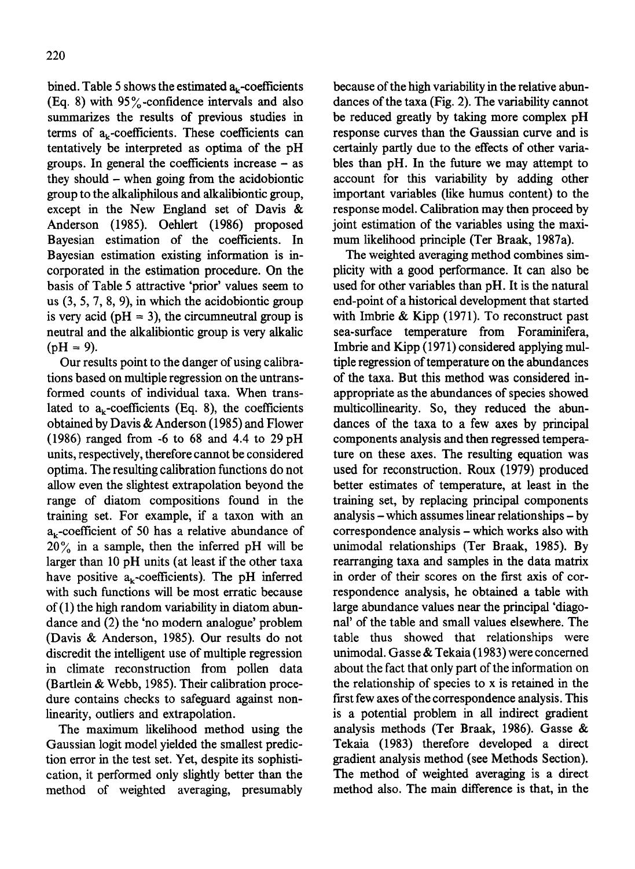bined. Table 5 shows the estimated  $a_k$ -coefficients (Eq. 8) with 95%-confidence intervals and also summarizes the results of previous studies in terms of  $a_k$ -coefficients. These coefficients can tentatively be interpreted as optima of the pH groups. In general the coefficients increase - as they should - when going from the acidobiontic group to the alkaliphilous and alkalibiontic group, except in the New England set of Davis & Anderson (1985). Oehlert (1986) proposed Bayesian estimation of the coefficients. In Bayesian estimation existing information is incorporated in the estimation procedure. On the basis of Table 5 attractive 'prior' values seem to us (3, 5, 7, 8, 9), in which the acidobiontic group is very acid (pH = 3), the circumneutral group is neutral and the alkalibiontic group is very alkalic  $(pH = 9)$ .

Our results point to the danger of using calibrations based on multiple regression on the untransformed counts of individual taxa. When translated to  $a_{\nu}$ -coefficients (Eq. 8), the coefficients obtained by Davis & Anderson (1985) and Flower (1986) ranged from -6 to 68 and 4.4 to 29 pH units, respectively, therefore cannot be considered optima. The resulting calibration functions do not allow even the slightest extrapolation beyond the range of diatom compositions found in the training set. For example, if a taxon with an  $a_k$ -coefficient of 50 has a relative abundance of  $20\%$  in a sample, then the inferred pH will be larger than 10 pH units (at least if the other taxa have positive  $a_k$ -coefficients). The pH inferred with such functions will be most erratic because of(1) the high random variability in diatom abundance and (2) the 'no modern analogue' problem (Davis & Anderson, 1985). Our results do not discredit the intelligent use of multiple regression in climate reconstruction from pollen data (Bartlein & Webb, 1985). Their calibration procedure contains checks to safeguard against nonlinearity, outliers and extrapolation.

The maximum likelihood method using the Gaussian logit model yielded the smallest prediction error in the test set. Yet, despite its sophistication, it performed only slightly better than the method of weighted averaging, presumably

because of the high variability in the relative abundances of the taxa (Fig. 2). The variability cannot be reduced greatly by taking more complex pH response curves than the Gaussian curve and is certainly partly due to the effects of other variables than pH. In the future we may attempt to account for this variability by adding other important variables (like humus content) to the response model. Calibration may then proceed by joint estimation of the variables using the maximum likelihood principle (Ter Braak, 1987a).

The weighted averaging method combines simplicity with a good performance. It can also be used for other variables than pH. It is the natural end-point of a historical development that started with Imbrie & Kipp (1971). To reconstruct past sea-surface temperature from Foraminifera, Imbrie and Kipp (1971) considered applying multiple regression of temperature on the abundances of the taxa. But this method was considered inappropriate as the abundances of species showed multicollinearity. So, they reduced the abundances of the taxa to a few axes by principal components analysis and then regressed temperature on these axes. The resulting equation was used for reconstruction. Roux (1979) produced better estimates of temperature, at least in the training set, by replacing principal components analysis - which assumes linear relationships - by correspondence analysis - which works also with unimodal relationships (Ter Braak, 1985). By rearranging taxa and samples in the data matrix in order of their scores on the first axis of correspondence analysis, he obtained a table with large abundance values near the principal 'diagonal' of the table and small values elsewhere. The table thus showed that relationships were unimodal. Gasse & Tekaia ( 1983) were concerned about the fact that only part of the information on the relationship of species to x is retained in the first few axes of the correspondence analysis. This is a potential problem in all indirect gradient analysis methods (Ter Braak, 1986). Gasse & Tekaia (1983) therefore developed a direct gradient analysis method (see Methods Section). The method of weighted averaging is a direct method also. The main difference is that, in the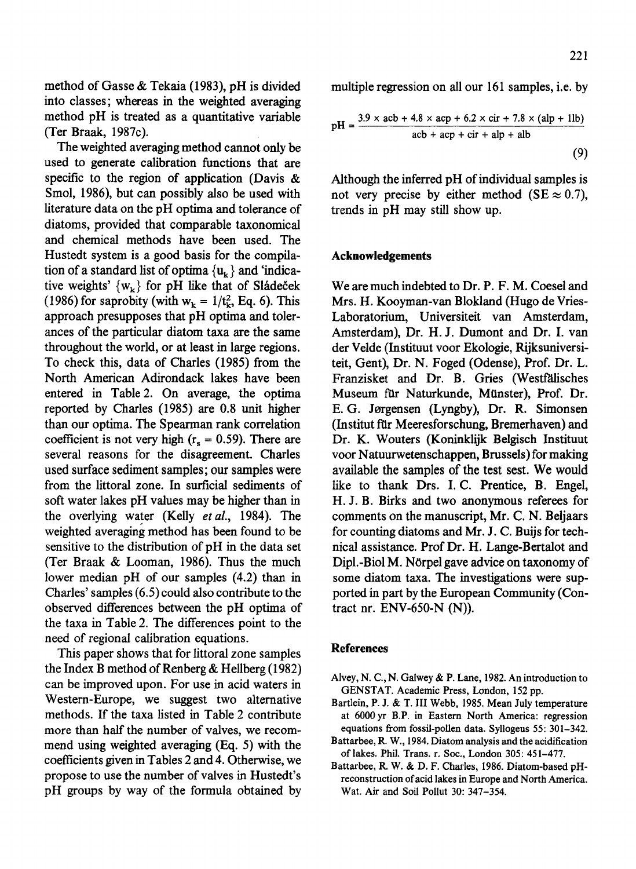method of Gasse & Tekaia (1983), pH is divided into classes; whereas in the weighted averaging method pH is treated as a quantitative variable (Ter Braak, 1987c).

The weighted averaging method cannot only be used to generate calibration functions that are specific to the region of application (Davis & Smol, 1986), but can possibly also be used with literature data on the pH optima and tolerance of diatoms, provided that comparable taxonomical and chemical methods have been used. The Hustedt system is a good basis for the compilation of a standard list of optima  $\{u_{k}\}\$  and 'indicative weights'  $\{w_k\}$  for pH like that of Sládeček (1986) for saprobity (with  $w_k = 1/t_k^2$ , Eq. 6). This approach presupposes that pH optima and tolerances of the particular diatom taxa are the same throughout the world, or at least in large regions. To check this, data of Charles (1985) from the North American Adirondack lakes have been entered in Table 2. On average, the optima reported by Charles {1985) are 0.8 unit higher than our optima. The Spearman rank correlation coefficient is not very high  $(r<sub>s</sub> = 0.59)$ . There are several reasons for the disagreement. Charles used surface sediment samples; our samples were from the littoral zone. In surficial sediments of soft water lakes pH values may be higher than in the overlying water (Kelly *et al.,* 1984). The weighted averaging method has been found to be sensitive to the distribution of pH in the data set (Ter Braak & Looman, 1986). Thus the much lower median pH of our samples (4.2) than in Charles' samples (6.5) could also contribute to the observed differences between the pH optima of the taxa in Table 2. The differences point to the need of regional calibration equations.

This paper shows that for littoral zone samples the Index B method of Renberg  $&$  Hellberg (1982) can be improved upon. For use in acid waters in Western-Europe, we suggest two alternative methods. If the taxa listed in Table 2 contribute more than half the number of valves, we recommend using weighted averaging (Eq. 5) with the coefficients given in Tables 2 and 4. Otherwise, we propose to use the number of valves in Hustedt's pH groups by way of the formula obtained by multiple regression on all our 161 samples, i.e. by

$$
pH = \frac{3.9 \times acb + 4.8 \times acp + 6.2 \times cir + 7.8 \times (alp + 11b)}{acb + acp + cir + alp + alb}
$$
\n(9)

Although the inferred pH of individual samples is not very precise by either method (SE  $\approx 0.7$ ), trends in pH may still show up.

### Acknowledgements

We are much indebted to Dr. P. F. M. Coesel and Mrs. H. Kooyman-van Blokland (Hugo de Vries-Laboratorium, Universiteit van Amsterdam, Amsterdam), Dr. H. J. Dumont and Dr. I. van der Velde (lnstituut voor Ekologie, Rijksuniversiteit, Gent), Dr. N. Foged (Odense), Prof. Dr. L. Franzisket and Dr. B. Gries (Westfälisches Museum filr Naturkunde, MUnster), Prof. Dr. E. G. Jergensen (Lyngby), Dr. R. Simonsen (lnstitut filr Meeresforschung, Bremerhaven) and Dr. K. Wouters (Koninklijk Belgisch Instituut voor Natuurwetenschappen, Brussels) for making available the samples of the test sest. We would like to thank Drs. I. C. Prentice, B. Engel, H. J. B. Birks and two anonymous referees for comments on the manuscript, Mr. C. N. Beljaars for counting diatoms and Mr. J. C. Buijs for technical assistance. Prof Dr. H. Lange-Bertalot and Dipl.-Biol M. Nörpel gave advice on taxonomy of some diatom taxa. The investigations were supported in part by the European Community (Contract nr. ENV-650-N (N)).

# **References**

- Alvey, N. C., N. Galwey & P. Lane, 1982. An introduction to GENSTAT. Academic Press, London, 152 pp.
- Bartlein, P. J. & T.III Webb, 1985. Mean July temperature at 6000 yr B.P. in Eastern North America: regression equations from fossil-pollen data. Syl!ogeus 55: 301-342.
- Battarbee, R. W., 1984. Diatom analysis and the acidification of lakes. Phil. Trans. r. Soc., London 305: 451-477.
- Battarbee, R. W. & D. F. Charles, 1986. Diatom-based pHreconstruction of acid lakes in Europe and North America. Wat. Air and Soil Pollut 30: 347-354.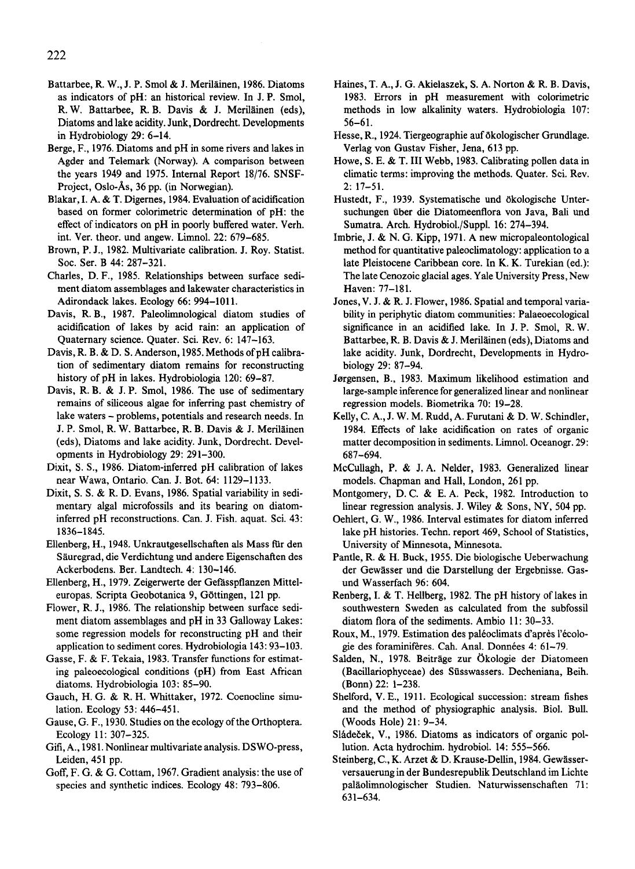- Battarbee, R. W., J. P. Smol & J. Meriläinen, 1986. Diatoms as indicators of pH: an historical review. In J.P. Smol, R. W. Battarbee, R. B. Davis & J. Meriläinen (eds), Diatoms and lake acidity. Junk, Dordrecht. Developments in Hydrobiology 29: 6-14.
- Berge, F., 1976. Diatoms and pH in some rivers and lakes in Agder and Telemark (Norway). A comparison between the years 1949 and 1975. Internal Report 18/76. SNSF-Project, Oslo-As, 36 pp. (in Norwegian).
- Blakar, I. A. & T. Digernes, 1984. Evaluation of acidification based on former colorimetric determination of pH: the effect of indicators on pH in poorly buffered water. Verh. int. Ver. theor. und angew. Limnol. 22: 679-685.
- Brown, P. J., 1982. Multivariate calibration. J. Roy. Statist. Soc. Ser. B 44: 287-321.
- Charles, D. F., 1985. Relationships between surface sediment diatom assemblages and lakewater characteristics in Adirondack lakes. Ecology 66: 994-1011.
- Davis, R. B., 1987. Paleolimnological diatom studies of acidification of lakes by acid rain: an application of Quaternary science. Quater. Sci. Rev. 6: 147-163.
- Davis, R. B. & D. S. Anderson, 1985. Methods of pH calibration of sedimentary diatom remains for reconstructing history of pH in lakes. Hydrobiologia 120: 69-87.
- Davis, R. B. & J. P. Smol, 1986. The use of sedimentary remains of siliceous algae for inferring past chemistry of lake waters - problems, potentials and research needs. In J. P. Smol, R. W. Battarbee, R. B. Davis & J. Meriläinen (eds), Diatoms and lake acidity. Junk, Dordrecht. Developments in Hydrobiology 29: 291-300.
- Dixit, S. S., 1986. Diatom-inferred pH calibration of lakes near Wawa, Ontario. Can. J. Bot. 64: 1129-1133.
- Dixit, S. S. & R. D. Evans, 1986. Spatial variability in sedimentary algal microfossils and its bearing on diatominferred pH reconstructions. Can. J. Fish. aquat. Sci. 43: 1836-1845.
- Ellenberg, H., 1948. Unkrautgesellschaften als Mass für den Säuregrad, die Verdichtung und andere Eigenschaften des Ackerbodens. Ber. Landtech. 4: 130-146.
- Ellenberg, H., 1979. Zeigerwerte der Gefasspflanzen Mitteleuropas. Scripta Geobotanica 9, Göttingen, 121 pp.
- Flower, R. J., 1986. The relationship between surface sediment diatom assemblages and pH in 33 Galloway Lakes: some regression models for reconstructing pH and their application to sediment cores. Hydrobiologia 143:93-103.
- Gasse, F. & F. Tekaia, 1983. Transfer functions for estimating paleoecological conditions (pH) from East African diatoms. Hydrobiologia 103: 85-90.
- Gauch, H. G. & R. H. Whittaker, 1972. Coenocline simulation. Ecology 53: 446-451.
- Gause, G. F., 1930. Studies on the ecology of the Orthoptera. Ecology 11: 307-325.
- Gifi, A., 1981. Nonlinear multivariate analysis. DSWO-press, Leiden, 451 pp.
- Goff, F. G. & G. Cottam, 1967. Gradient analysis: the use of species and synthetic indices. Ecology 48: 793-806.
- Haines, T. A., J. G. Akielaszek, S. A. Norton & R. B. Davis, 1983. Errors in pH measurement with colorimetric methods in low alkalinity waters. Hydrobiologia 107: 56-61.
- Hesse, R., 1924. Tiergeographie auf ökologischer Grundlage. Verlag von Gustav Fisher, Jena, 613 pp.
- Howe, S. E. & T. III Webb, 1983. Calibrating pollen data in climatic terms: improving the methods. Quater. Sci. Rev. 2: 17-51.
- Hustedt, F., 1939. Systematische und 5kologische Untersuchungen über die Diatomeenflora von Java, Bali und Sumatra. Arch. Hydrobiol./Suppl. 16: 274-394.
- Imbrie, J. & N. G. Kipp, 1971. A new micropaleontological method for quantitative paleoclimatology: application to a late Pleistocene Caribbean core. In K. K. Turekian (ed.): The late Cenozoic glacial ages. Yale University Press, New Haven: 77-181.
- Jones, V. J. & R. J. Flower, 1986. Spatial and temporal variability in periphytic diatom communities: Palaeoecological significance in an acidified lake. In J. P. Smol, R. W. Battarbee, R. B. Davis & J. Meriläinen (eds), Diatoms and lake acidity. Junk, Dordrecht, Developments in Hydrobiology 29: 87-94.
- Jørgensen, B., 1983. Maximum likelihood estimation and large-sample inference for generalized linear and nonlinear regression models. Biometrika 70: 19-28.
- Kelly, C. A., J. W. M. Rudd, A. Furutani & D. W. Schindler, 1984. Effects of lake acidification on rates of organic matter decomposition in sediments. Limnol. Oceanogr. 29: 687-694.
- McCullagh, P. & J. A. Neider, 1983. Generalized linear models. Chapman and Hall, London, 261 pp.
- Montgomery, D. C. & E. A. Peck, 1982. Introduction to linear regression analysis. J. Wiley & Sons, NY, 504 pp.
- Oehlert, G. W., 1986. Interval estimates for diatom inferred lake pH histories. Techn. report 469, School of Statistics, University of Minnesota, Minnesota.
- Pantle, R. & H. Buck, 1955. Die biologische Ueberwachung der Gewasser und die Darstellung der Ergebnisse. Gasund Wasserfach 96: 604.
- Renberg, I. & T. Hellberg, 1982. The pH history of lakes in southwestern Sweden as calculated from the subfossil diatom flora of the sediments. Ambio 11: 30-33.
- Roux, M., 1979. Estimation des paléoclimats d'après l'écologie des foraminiferes. Cah. Anal. Donnees 4: 61-79.
- Salden, N., 1978. Beiträge zur Ökologie der Diatomeen (Bacillariophyceae) des Susswassers. Decheniana, Beih. (Bonn) 22: 1-238.
- Shelford, V. E., 1911. Ecological succession: stream fishes and the method of physiographic analysis. Biol. Bull. (Woods Hole) 21: 9-34.
- Sládeček, V., 1986. Diatoms as indicators of organic pollution. Acta hydrochim. hydrobiol. 14: 555-566.
- Steinberg, C., K. Arzet & D. Krause-Dellin, 1984. Gewässerversauerung in der Bundesrepublik Deutschland im Lichte paläolimnologischer Studien. Naturwissenschaften 71: 631-634.